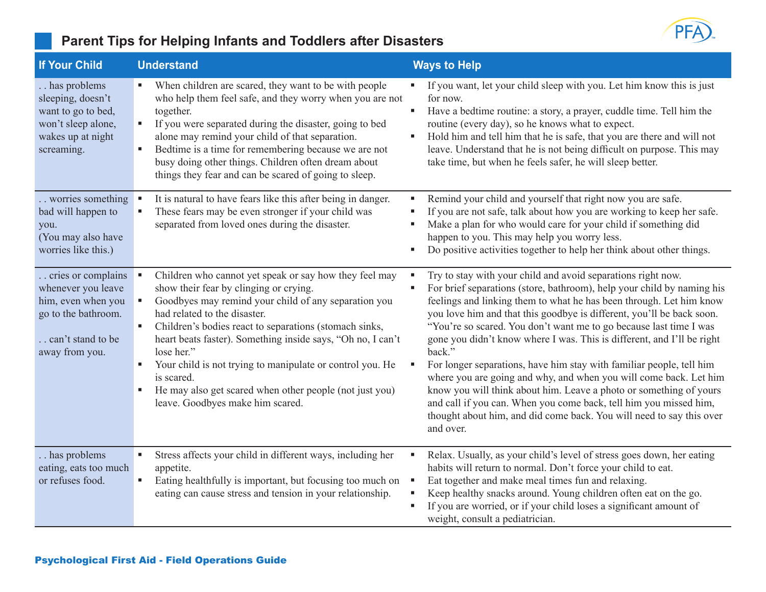

| <b>If Your Child</b>                                                                                                         | <b>Understand</b>                                                                                                                                                                                                                                                                                                                                                                                                                                                                                                        | <b>Ways to Help</b>                                                                                                                                                                                                                                                                                                                                                                                                                                                                                                                                                                                                                                                                                                                                                                                                           |
|------------------------------------------------------------------------------------------------------------------------------|--------------------------------------------------------------------------------------------------------------------------------------------------------------------------------------------------------------------------------------------------------------------------------------------------------------------------------------------------------------------------------------------------------------------------------------------------------------------------------------------------------------------------|-------------------------------------------------------------------------------------------------------------------------------------------------------------------------------------------------------------------------------------------------------------------------------------------------------------------------------------------------------------------------------------------------------------------------------------------------------------------------------------------------------------------------------------------------------------------------------------------------------------------------------------------------------------------------------------------------------------------------------------------------------------------------------------------------------------------------------|
| has problems<br>sleeping, doesn't<br>want to go to bed,<br>won't sleep alone,<br>wakes up at night<br>screaming.             | When children are scared, they want to be with people<br>ш<br>who help them feel safe, and they worry when you are not<br>together.<br>If you were separated during the disaster, going to bed<br>٠<br>alone may remind your child of that separation.<br>Bedtime is a time for remembering because we are not<br>٠<br>busy doing other things. Children often dream about<br>things they fear and can be scared of going to sleep.                                                                                      | If you want, let your child sleep with you. Let him know this is just<br>п<br>for now.<br>Have a bedtime routine: a story, a prayer, cuddle time. Tell him the<br>routine (every day), so he knows what to expect.<br>Hold him and tell him that he is safe, that you are there and will not<br>л<br>leave. Understand that he is not being difficult on purpose. This may<br>take time, but when he feels safer, he will sleep better.                                                                                                                                                                                                                                                                                                                                                                                       |
| worries something<br>bad will happen to<br>you.<br>(You may also have<br>worries like this.)                                 | It is natural to have fears like this after being in danger.<br>л<br>These fears may be even stronger if your child was<br>separated from loved ones during the disaster.                                                                                                                                                                                                                                                                                                                                                | Remind your child and yourself that right now you are safe.<br>д<br>If you are not safe, talk about how you are working to keep her safe.<br>Make a plan for who would care for your child if something did<br>happen to you. This may help you worry less.<br>Do positive activities together to help her think about other things.                                                                                                                                                                                                                                                                                                                                                                                                                                                                                          |
| cries or complains<br>whenever you leave<br>him, even when you<br>go to the bathroom.<br>can't stand to be<br>away from you. | Children who cannot yet speak or say how they feel may<br>show their fear by clinging or crying.<br>Goodbyes may remind your child of any separation you<br>had related to the disaster.<br>Children's bodies react to separations (stomach sinks,<br>٠<br>heart beats faster). Something inside says, "Oh no, I can't<br>lose her."<br>Your child is not trying to manipulate or control you. He<br>٠<br>is scared.<br>He may also get scared when other people (not just you)<br>ш<br>leave. Goodbyes make him scared. | Try to stay with your child and avoid separations right now.<br>For brief separations (store, bathroom), help your child by naming his<br>feelings and linking them to what he has been through. Let him know<br>you love him and that this goodbye is different, you'll be back soon.<br>"You're so scared. You don't want me to go because last time I was<br>gone you didn't know where I was. This is different, and I'll be right<br>back."<br>For longer separations, have him stay with familiar people, tell him<br>where you are going and why, and when you will come back. Let him<br>know you will think about him. Leave a photo or something of yours<br>and call if you can. When you come back, tell him you missed him,<br>thought about him, and did come back. You will need to say this over<br>and over. |
| has problems<br>eating, eats too much<br>or refuses food.                                                                    | Stress affects your child in different ways, including her<br>٠<br>appetite.<br>Eating healthfully is important, but focusing too much on<br>ш<br>eating can cause stress and tension in your relationship.                                                                                                                                                                                                                                                                                                              | Relax. Usually, as your child's level of stress goes down, her eating<br>habits will return to normal. Don't force your child to eat.<br>Eat together and make meal times fun and relaxing.<br>p<br>Keep healthy snacks around. Young children often eat on the go.<br>If you are worried, or if your child loses a significant amount of<br>weight, consult a pediatrician.                                                                                                                                                                                                                                                                                                                                                                                                                                                  |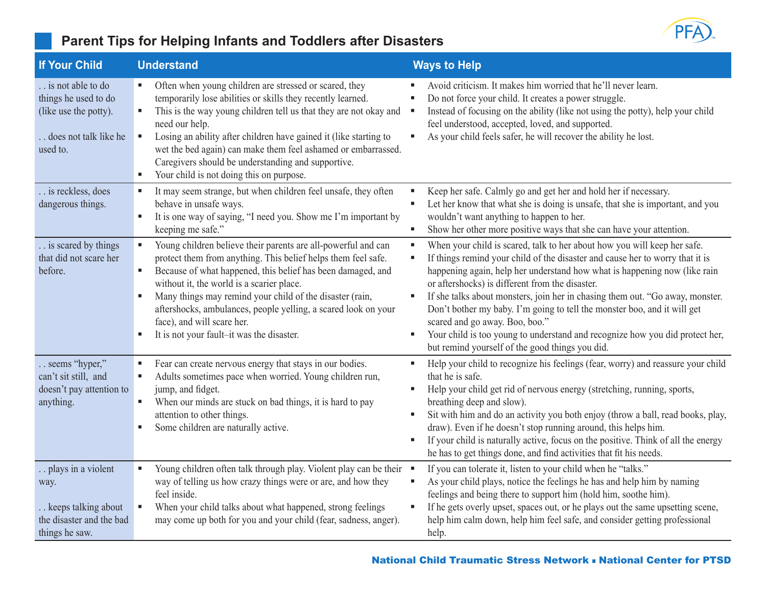

| <b>If Your Child</b>                                                                                    | <b>Understand</b>                                                                                                                                                                                                                                                                                                                                                                                                                                                                    | <b>Ways to Help</b>                                                                                                                                                                                                                                                                                                                                                                                                                                                                                                                                                                                                                              |
|---------------------------------------------------------------------------------------------------------|--------------------------------------------------------------------------------------------------------------------------------------------------------------------------------------------------------------------------------------------------------------------------------------------------------------------------------------------------------------------------------------------------------------------------------------------------------------------------------------|--------------------------------------------------------------------------------------------------------------------------------------------------------------------------------------------------------------------------------------------------------------------------------------------------------------------------------------------------------------------------------------------------------------------------------------------------------------------------------------------------------------------------------------------------------------------------------------------------------------------------------------------------|
| is not able to do<br>things he used to do<br>(like use the potty).<br>does not talk like he<br>used to. | Often when young children are stressed or scared, they<br>temporarily lose abilities or skills they recently learned.<br>This is the way young children tell us that they are not okay and<br>$\blacksquare$<br>need our help.<br>Losing an ability after children have gained it (like starting to<br>٠<br>wet the bed again) can make them feel ashamed or embarrassed.<br>Caregivers should be understanding and supportive.<br>Your child is not doing this on purpose.<br>٠     | Avoid criticism. It makes him worried that he'll never learn.<br>в<br>Do not force your child. It creates a power struggle.<br>٠<br>Instead of focusing on the ability (like not using the potty), help your child<br>п<br>feel understood, accepted, loved, and supported.<br>As your child feels safer, he will recover the ability he lost.<br>٠                                                                                                                                                                                                                                                                                              |
| is reckless, does<br>dangerous things.                                                                  | It may seem strange, but when children feel unsafe, they often<br>ш<br>behave in unsafe ways.<br>It is one way of saying, "I need you. Show me I'm important by<br>٠<br>keeping me safe."                                                                                                                                                                                                                                                                                            | Keep her safe. Calmly go and get her and hold her if necessary.<br>٠<br>Let her know that what she is doing is unsafe, that she is important, and you<br>×<br>wouldn't want anything to happen to her.<br>Show her other more positive ways that she can have your attention.<br>٠                                                                                                                                                                                                                                                                                                                                                               |
| is scared by things<br>that did not scare her<br>before.                                                | Young children believe their parents are all-powerful and can<br>$\blacksquare$<br>protect them from anything. This belief helps them feel safe.<br>Because of what happened, this belief has been damaged, and<br>ш<br>without it, the world is a scarier place.<br>Many things may remind your child of the disaster (rain,<br>٠<br>aftershocks, ambulances, people yelling, a scared look on your<br>face), and will scare her.<br>It is not your fault-it was the disaster.<br>ш | When your child is scared, talk to her about how you will keep her safe.<br>g,<br>If things remind your child of the disaster and cause her to worry that it is<br>٠<br>happening again, help her understand how what is happening now (like rain<br>or aftershocks) is different from the disaster.<br>If she talks about monsters, join her in chasing them out. "Go away, monster.<br>п<br>Don't bother my baby. I'm going to tell the monster boo, and it will get<br>scared and go away. Boo, boo."<br>Your child is too young to understand and recognize how you did protect her,<br>٠<br>but remind yourself of the good things you did. |
| seems "hyper,"<br>can't sit still, and<br>doesn't pay attention to<br>anything.                         | Fear can create nervous energy that stays in our bodies.<br>ш<br>Adults sometimes pace when worried. Young children run,<br>$\blacksquare$<br>jump, and fidget.<br>When our minds are stuck on bad things, it is hard to pay<br>٠<br>attention to other things.<br>Some children are naturally active.<br>٠                                                                                                                                                                          | Help your child to recognize his feelings (fear, worry) and reassure your child<br>٠<br>that he is safe.<br>Help your child get rid of nervous energy (stretching, running, sports,<br>٠<br>breathing deep and slow).<br>Sit with him and do an activity you both enjoy (throw a ball, read books, play,<br>٠<br>draw). Even if he doesn't stop running around, this helps him.<br>If your child is naturally active, focus on the positive. Think of all the energy<br>٠<br>he has to get things done, and find activities that fit his needs.                                                                                                  |
| plays in a violent<br>way.<br>keeps talking about<br>the disaster and the bad<br>things he saw.         | Young children often talk through play. Violent play can be their •<br>way of telling us how crazy things were or are, and how they<br>feel inside.<br>When your child talks about what happened, strong feelings<br>٠<br>may come up both for you and your child (fear, sadness, anger).                                                                                                                                                                                            | If you can tolerate it, listen to your child when he "talks."<br>As your child plays, notice the feelings he has and help him by naming<br>٠<br>feelings and being there to support him (hold him, soothe him).<br>If he gets overly upset, spaces out, or he plays out the same upsetting scene,<br>п<br>help him calm down, help him feel safe, and consider getting professional<br>help.                                                                                                                                                                                                                                                     |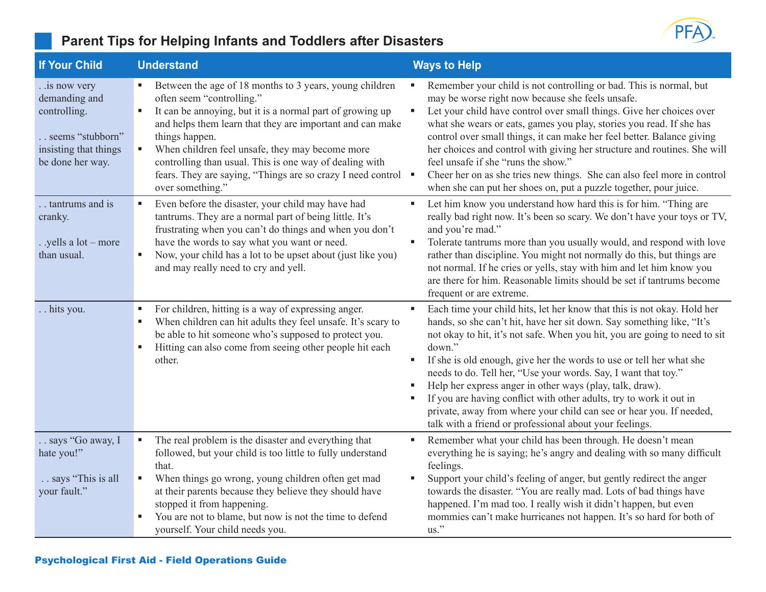

| <b>If Your Child</b>                                                                                             | <b>Understand</b>                                                                                                                                                                                                                                                                                                                                                                                                                      | <b>Ways to Help</b>                                                                                                                                                                                                                                                                                                                                                                                                                                                                                                                                                                                                                                     |
|------------------------------------------------------------------------------------------------------------------|----------------------------------------------------------------------------------------------------------------------------------------------------------------------------------------------------------------------------------------------------------------------------------------------------------------------------------------------------------------------------------------------------------------------------------------|---------------------------------------------------------------------------------------------------------------------------------------------------------------------------------------------------------------------------------------------------------------------------------------------------------------------------------------------------------------------------------------------------------------------------------------------------------------------------------------------------------------------------------------------------------------------------------------------------------------------------------------------------------|
| . .is now very<br>demanding and<br>controlling.<br>seems "stubborn"<br>insisting that things<br>be done her way. | Between the age of 18 months to 3 years, young children<br>often seem "controlling."<br>It can be annoying, but it is a normal part of growing up<br>and helps them learn that they are important and can make<br>things happen.<br>When children feel unsafe, they may become more<br>ш<br>controlling than usual. This is one way of dealing with<br>fears. They are saying, "Things are so crazy I need control<br>over something." | Remember your child is not controlling or bad. This is normal, but<br>may be worse right now because she feels unsafe.<br>Let your child have control over small things. Give her choices over<br>what she wears or eats, games you play, stories you read. If she has<br>control over small things, it can make her feel better. Balance giving<br>her choices and control with giving her structure and routines. She will<br>feel unsafe if she "runs the show."<br>Cheer her on as she tries new things. She can also feel more in control<br>when she can put her shoes on, put a puzzle together, pour juice.                                     |
| . tantrums and is<br>cranky.<br>. .yells a lot – more<br>than usual.                                             | Even before the disaster, your child may have had<br>ш<br>tantrums. They are a normal part of being little. It's<br>frustrating when you can't do things and when you don't<br>have the words to say what you want or need.<br>Now, your child has a lot to be upset about (just like you)<br>ш<br>and may really need to cry and yell.                                                                                                | Let him know you understand how hard this is for him. "Thing are<br>×<br>really bad right now. It's been so scary. We don't have your toys or TV,<br>and you're mad."<br>Tolerate tantrums more than you usually would, and respond with love<br>rather than discipline. You might not normally do this, but things are<br>not normal. If he cries or yells, stay with him and let him know you<br>are there for him. Reasonable limits should be set if tantrums become<br>frequent or are extreme.                                                                                                                                                    |
| hits you.                                                                                                        | For children, hitting is a way of expressing anger.<br>ш<br>When children can hit adults they feel unsafe. It's scary to<br>be able to hit someone who's supposed to protect you.<br>Hitting can also come from seeing other people hit each<br>ш<br>other.                                                                                                                                                                            | Each time your child hits, let her know that this is not okay. Hold her<br>hands, so she can't hit, have her sit down. Say something like, "It's<br>not okay to hit, it's not safe. When you hit, you are going to need to sit<br>down."<br>If she is old enough, give her the words to use or tell her what she<br>needs to do. Tell her, "Use your words. Say, I want that toy."<br>Help her express anger in other ways (play, talk, draw).<br>If you are having conflict with other adults, try to work it out in<br>private, away from where your child can see or hear you. If needed,<br>talk with a friend or professional about your feelings. |
| . says "Go away, I<br>hate you!"<br>says "This is all<br>your fault."                                            | The real problem is the disaster and everything that<br>$\blacksquare$<br>followed, but your child is too little to fully understand<br>that.<br>When things go wrong, young children often get mad<br>٠<br>at their parents because they believe they should have<br>stopped it from happening.<br>You are not to blame, but now is not the time to defend<br>yourself. Your child needs you.                                         | Remember what your child has been through. He doesn't mean<br>everything he is saying; he's angry and dealing with so many difficult<br>feelings.<br>Support your child's feeling of anger, but gently redirect the anger<br>towards the disaster. "You are really mad. Lots of bad things have<br>happened. I'm mad too. I really wish it didn't happen, but even<br>mommies can't make hurricanes not happen. It's so hard for both of<br>$\mathrm{us}$ ."                                                                                                                                                                                            |